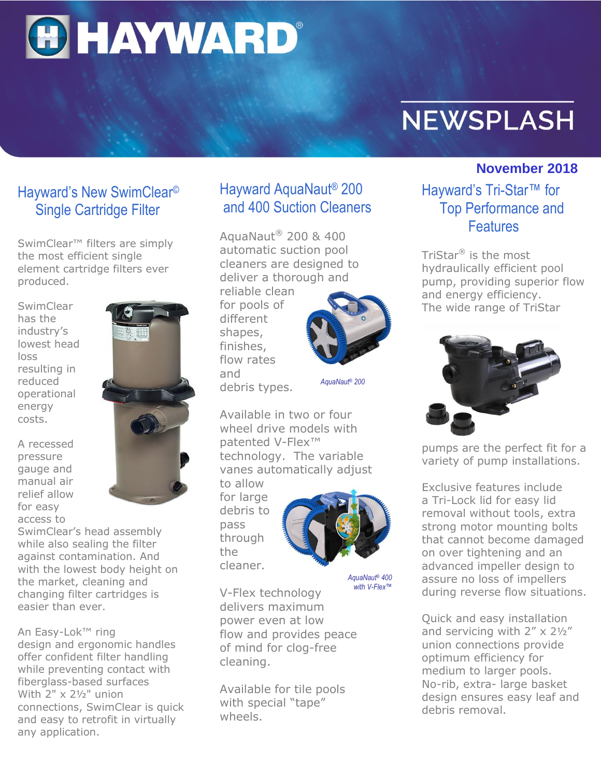

# **NEWSPLASH**

#### **November 2018**

## Hayward AquaNaut® 200 and 400 Suction Cleaners

AquaNaut® 200 & 400 automatic suction pool cleaners are designed to deliver a thorough and

reliable clean for pools of different shapes, finishes, flow rates and debris types.



*AquaNaut® 200*

Available in two or four wheel drive models with patented V-Flex™ technology. The variable vanes automatically adjust

to allow for large debris to pass through the cleaner.



*AquaNaut® 400 with V-Flex™*

V-Flex technology delivers maximum power even at low flow and provides peace of mind for clog-free cleaning.

Available for tile pools with special "tape" wheels.

#### Hayward's Tri-Star™ for Top Performance and **Features**

TriStar® is the most hydraulically efficient pool pump, providing superior flow and energy efficiency. The wide range of TriStar



pumps are the perfect fit for a variety of pump installations.

Exclusive features include a Tri-Lock lid for easy lid removal without tools, extra strong motor mounting bolts that cannot become damaged on over tightening and an advanced impeller design to assure no loss of impellers during reverse flow situations.

Quick and easy installation and servicing with  $2'' \times 2\frac{1}{2}''$ union connections provide optimum efficiency for medium to larger pools. No-rib, extra- large basket design ensures easy leaf and debris removal.

### Hayward's New SwimClear© Single Cartridge Filter

SwimClear<sup>™</sup> filters are simply the most efficient single element cartridge filters ever produced.

**SwimClear** has the industry's lowest head loss resulting in reduced operational energy costs.

A recessed pressure gauge and manual air relief allow for easy access to



SwimClear's head assembly while also sealing the filter against contamination. And with the lowest body height on the market, cleaning and changing filter cartridges is easier than ever.

An Easy-Lok™ ring design and ergonomic handles offer confident filter handling while preventing contact with fiberglass-based surfaces With 2" x 2½" union connections, SwimClear is quick and easy to retrofit in virtually any application.